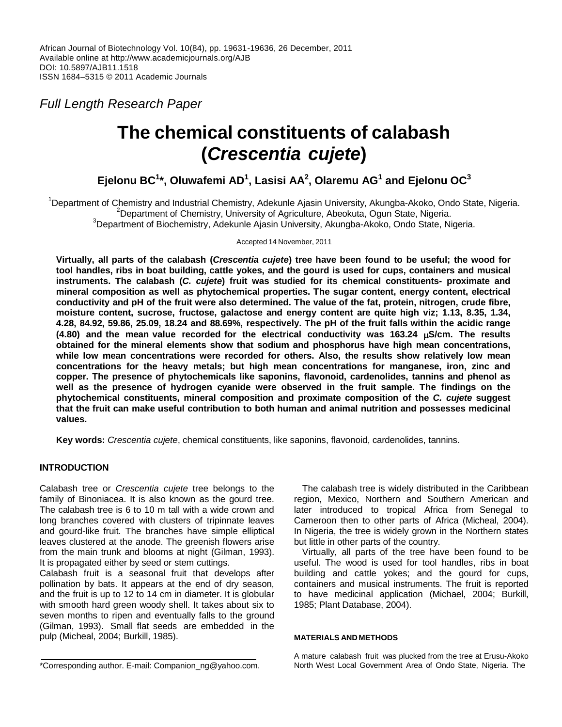*Full Length Research Paper*

# **The chemical constituents of calabash (***Crescentia cujete***)**

**Ejelonu BC<sup>1</sup> \*, Oluwafemi AD<sup>1</sup> , Lasisi AA<sup>2</sup> , Olaremu AG<sup>1</sup> and Ejelonu OC<sup>3</sup>**

<sup>1</sup>Department of Chemistry and Industrial Chemistry, Adekunle Ajasin University, Akungba-Akoko, Ondo State, Nigeria. <sup>2</sup>Department of Chemistry, University of Agriculture, Abeokuta, Ogun State, Nigeria.  $3$ Department of Biochemistry, Adekunle Ajasin University, Akungba-Akoko, Ondo State, Nigeria.

Accepted 14 November, 2011

Virtually, all parts of the calabash (Crescentia cujete) tree have been found to be useful; the wood for **tool handles, ribs in boat building, cattle yokes, and the gourd is used for cups, containers and musical instruments. The calabash (***C. cujete***) fruit was studied for its chemical constituents- proximate and mineral composition as well as phytochemical properties. The sugar content, energy content, electrical conductivity and pH of the fruit were also determined. The value of the fat, protein, nitrogen, crude fibre, moisture content, sucrose, fructose, galactose and energy content are quite high viz; 1.13, 8.35, 1.34,** 4.28, 84.92, 59.86, 25.09, 18.24 and 88.69%, respectively. The pH of the fruit falls within the acidic range **(4.80)** and the mean value recorded for the electrical conductivity was 163.24  $\mu$ S/cm. The results **obtained for the mineral elements show that sodium and phosphorus have high mean concentrations, while low mean concentrations were recorded for others. Also, the results show relatively low mean concentrations for the heavy metals; but high mean concentrations for manganese, iron, zinc and copper. The presence of phytochemicals like saponins, flavonoid, cardenolides, tannins and phenol as well as the presence of hydrogen cyanide were observed in the fruit sample. The findings on the phytochemical constituents, mineral composition and proximate composition of the** *C. cujete* **suggest that the fruit can make useful contribution to both human and animal nutrition and possesses medicinal values.**

**Key words:** *Crescentia cujete*, chemical constituents, like saponins, flavonoid, cardenolides, tannins.

# **INTRODUCTION**

Calabash tree or *Crescentia cujete* tree belongs to the family of Binoniacea. It is also known as the gourd tree. The calabash tree is 6 to 10 m tall with a wide crown and long branches covered with clusters of tripinnate leaves and gourd-like fruit. The branches have simple elliptical leaves clustered at the anode. The greenish flowers arise from the main trunk and blooms at night (Gilman, 1993). It is propagated either by seed or stem cuttings.

Calabash fruit is a seasonal fruit that develops after pollination by bats. It appears at the end of dry season, and the fruit is up to 12 to 14 cm in diameter. It is globular with smooth hard green woody shell. It takes about six to seven months to ripen and eventually falls to the ground (Gilman, 1993). Small flat seeds are embedded in the pulp (Micheal, 2004; Burkill, 1985).

The calabash tree is widely distributed in the Caribbean region, Mexico, Northern and Southern American and later introduced to tropical Africa from Senegal to Cameroon then to other parts of Africa (Micheal, 2004). In Nigeria, the tree is widely grown in the Northern states but little in other parts of the country.

Virtually, all parts of the tree have been found to be useful. The wood is used for tool handles, ribs in boat building and cattle yokes; and the gourd for cups, containers and musical instruments. The fruit is reported to have medicinal application (Michael, 2004; Burkill, 1985; Plant Database, 2004).

#### **MATERIALS AND METHODS**

A mature calabash fruit was plucked from the tree at Erusu-Akoko North West Local Government Area of Ondo State, Nigeria. The

<sup>\*</sup>Corresponding author. E-mail: Companion\_ng@yahoo.com.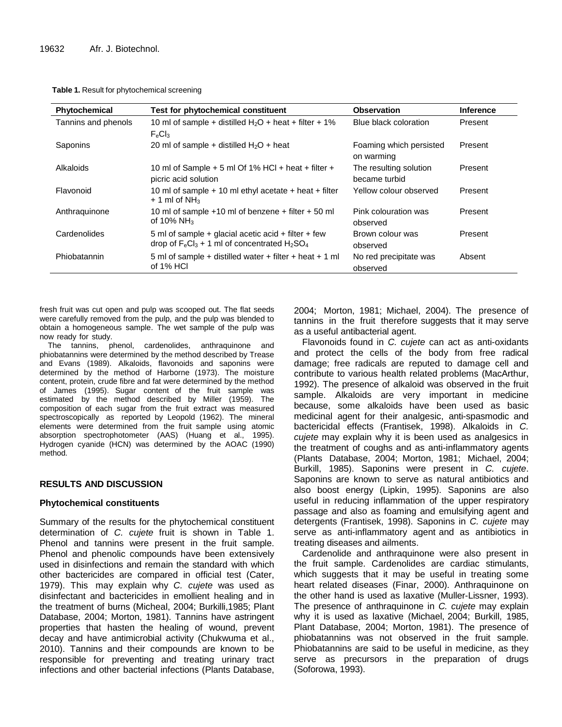| Table 1. Result for phytochemical screening |  |  |  |  |
|---------------------------------------------|--|--|--|--|
|---------------------------------------------|--|--|--|--|

| Phytochemical       | Test for phytochemical constituent                                                                        | <b>Observation</b>                      | <b>Inference</b> |
|---------------------|-----------------------------------------------------------------------------------------------------------|-----------------------------------------|------------------|
| Tannins and phenols | 10 ml of sample + distilled $H_2O$ + heat + filter + 1%<br>$F_eCl_3$                                      | Blue black coloration                   | Present          |
| Saponins            | 20 ml of sample + distilled $H_2O$ + heat                                                                 | Foaming which persisted<br>on warming   | Present          |
| Alkaloids           | 10 ml of Sample $+5$ ml Of 1% HCl $+$ heat $+$ filter $+$<br>picric acid solution                         | The resulting solution<br>became turbid | Present          |
| Flavonoid           | 10 ml of sample $+$ 10 ml ethyl acetate $+$ heat $+$ filter<br>$+$ 1 ml of NH <sub>3</sub>                | Yellow colour observed                  | Present          |
| Anthraguinone       | 10 ml of sample $+10$ ml of benzene $+$ filter $+50$ ml<br>of 10% NH <sub>3</sub>                         | Pink colouration was<br>observed        | Present          |
| Cardenolides        | 5 ml of sample + glacial acetic acid + filter + few<br>drop of $F_eCl_3 + 1$ ml of concentrated $H_2SO_4$ | Brown colour was<br>observed            | Present          |
| Phiobatannin        | 5 ml of sample + distilled water + filter + heat + 1 ml<br>of 1% HCI                                      | No red precipitate was<br>observed      | Absent           |

fresh fruit was cut open and pulp was scooped out. The flat seeds were carefully removed from the pulp, and the pulp was blended to obtain a homogeneous sample. The wet sample of the pulp was now ready for study.

The tannins, phenol, cardenolides, anthraquinone and phiobatannins were determined by the method described by Trease and Evans (1989). Alkaloids, flavonoids and saponins were determined by the method of Harborne (1973). The moisture content, protein, crude fibre and fat were determined by the method of James (1995). Sugar content of the fruit sample was estimated by the method described by Miller (1959). The composition of each sugar from the fruit extract was measured spectroscopically as reported by Leopold (1962). The mineral elements were determined from the fruit sample using atomic absorption spectrophotometer (AAS) (Huang et al., 1995). Hydrogen cyanide (HCN) was determined by the AOAC (1990) method.

## **RESULTS AND DISCUSSION**

### **Phytochemical constituents**

Summary of the results for the phytochemical constituent determination of *C. cujete* fruit is shown in Table 1. Phenol and tannins were present in the fruit sample. Phenol and phenolic compounds have been extensively used in disinfections and remain the standard with which other bactericides are compared in official test (Cater, 1979). This may explain why *C. cujete* was used as disinfectant and bactericides in emollient healing and in the treatment of burns (Micheal, 2004; Burkilli,1985; Plant Database, 2004; Morton, 1981). Tannins have astringent properties that hasten the healing of wound, prevent decay and have antimicrobial activity (Chukwuma et al., 2010). Tannins and their compounds are known to be responsible for preventing and treating urinary tract infections and other bacterial infections (Plants Database, 2004; Morton, 1981; Michael, 2004). The presence of tannins in the fruit therefore suggests that it may serve as a useful antibacterial agent.

Flavonoids found in *C. cujete* can act as anti-oxidants and protect the cells of the body from free radical damage; free radicals are reputed to damage cell and contribute to various health related problems (MacArthur, 1992). The presence of alkaloid was observed in the fruit sample. Alkaloids are very important in medicine because, some alkaloids have been used as basic medicinal agent for their analgesic, anti-spasmodic and bactericidal effects (Frantisek, 1998). Alkaloids in *C. cujete* may explain why it is been used as analgesics in the treatment of coughs and as anti-inflammatory agents (Plants Database, 2004; Morton, 1981; Michael, 2004; Burkill, 1985). Saponins were present in *C. cujete*. Saponins are known to serve as natural antibiotics and also boost energy (Lipkin, 1995). Saponins are also useful in reducing inflammation of the upper respiratory passage and also as foaming and emulsifying agent and detergents (Frantisek, 1998). Saponins in *C. cujete* may serve as anti-inflammatory agent and as antibiotics in treating diseases and ailments.

Cardenolide and anthraquinone were also present in the fruit sample. Cardenolides are cardiac stimulants, which suggests that it may be useful in treating some heart related diseases (Finar, 2000). Anthraquinone on the other hand is used as laxative (Muller-Lissner, 1993). The presence of anthraquinone in *C. cujete* may explain why it is used as laxative (Michael, 2004; Burkill, 1985, Plant Database, 2004; Morton, 1981). The presence of phiobatannins was not observed in the fruit sample. Phiobatannins are said to be useful in medicine, as they serve as precursors in the preparation of drugs (Soforowa, 1993).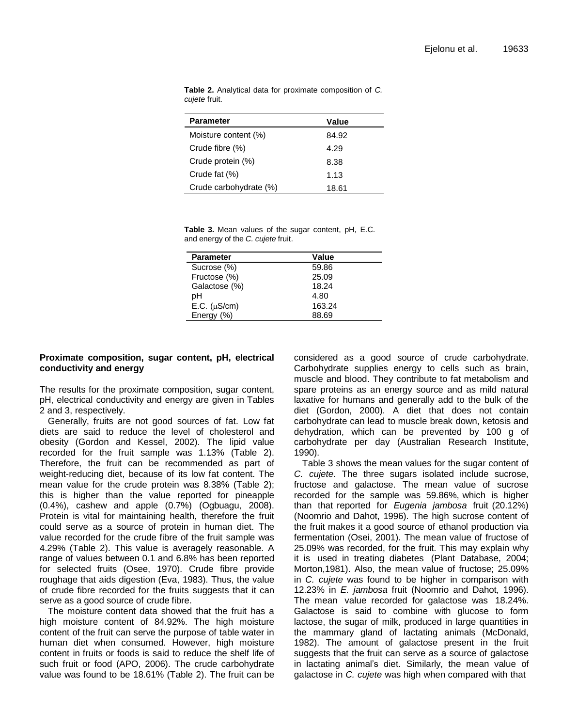| <b>Parameter</b>       | Value |
|------------------------|-------|
| Moisture content (%)   | 84.92 |
| Crude fibre (%)        | 4.29  |
| Crude protein (%)      | 8.38  |
| Crude fat (%)          | 1.13  |
| Crude carbohydrate (%) | 18.61 |

**Table 2.** Analytical data for proximate composition of *C. cujete* fruit.

**Table 3.** Mean values of the sugar content, pH, E.C. and energy of the *C. cujete* fruit.

| <b>Parameter</b>      | Value  |
|-----------------------|--------|
| Sucrose (%)           | 59.86  |
| Fructose (%)          | 25.09  |
| Galactose (%)         | 18.24  |
| pН                    | 4.80   |
| $E.C.$ ( $\mu S/cm$ ) | 163.24 |
| Energy (%)            | 88.69  |

## **Proximate composition, sugar content, pH, electrical conductivity and energy**

The results for the proximate composition, sugar content, pH, electrical conductivity and energy are given in Tables 2 and 3, respectively.

Generally, fruits are not good sources of fat. Low fat diets are said to reduce the level of cholesterol and obesity (Gordon and Kessel, 2002). The lipid value recorded for the fruit sample was 1.13% (Table 2). Therefore, the fruit can be recommended as part of weight-reducing diet, because of its low fat content. The mean value for the crude protein was 8.38% (Table 2); this is higher than the value reported for pineapple (0.4%), cashew and apple (0.7%) (Ogbuagu, 2008). Protein is vital for maintaining health, therefore the fruit could serve as a source of protein in human diet. The value recorded for the crude fibre of the fruit sample was 4.29% (Table 2). This value is averagely reasonable. A range of values between 0.1 and 6.8% has been reported for selected fruits (Osee, 1970). Crude fibre provide roughage that aids digestion (Eva, 1983). Thus, the value of crude fibre recorded for the fruits suggests that it can serve as a good source of crude fibre.

The moisture content data showed that the fruit has a high moisture content of 84.92%. The high moisture content of the fruit can serve the purpose of table water in human diet when consumed. However, high moisture content in fruits or foods is said to reduce the shelf life of such fruit or food (APO, 2006). The crude carbohydrate value was found to be 18.61% (Table 2). The fruit can be considered as a good source of crude carbohydrate. Carbohydrate supplies energy to cells such as brain, muscle and blood. They contribute to fat metabolism and spare proteins as an energy source and as mild natural laxative for humans and generally add to the bulk of the diet (Gordon, 2000). A diet that does not contain carbohydrate can lead to muscle break down, ketosis and dehydration, which can be prevented by 100 g of carbohydrate per day (Australian Research Institute, 1990).

Table 3 shows the mean values for the sugar content of *C. cujete*. The three sugars isolated include sucrose, fructose and galactose. The mean value of sucrose recorded for the sample was 59.86%, which is higher than that reported for *Eugenia jambosa* fruit (20.12%) (Noomrio and Dahot, 1996). The high sucrose content of the fruit makes it a good source of ethanol production via fermentation (Osei, 2001). The mean value of fructose of 25.09% was recorded, for the fruit. This may explain why it is used in treating diabetes (Plant Database, 2004; Morton,1981). Also, the mean value of fructose; 25.09% in *C. cujete* was found to be higher in comparison with 12.23% in *E. jambosa* fruit (Noomrio and Dahot, 1996). The mean value recorded for galactose was 18.24%. Galactose is said to combine with glucose to form lactose, the sugar of milk, produced in large quantities in the mammary gland of lactating animals (McDonald, 1982). The amount of galactose present in the fruit suggests that the fruit can serve as a source of galactose in lactating animal's diet. Similarly, the mean value of galactose in *C. cujete* was high when compared with that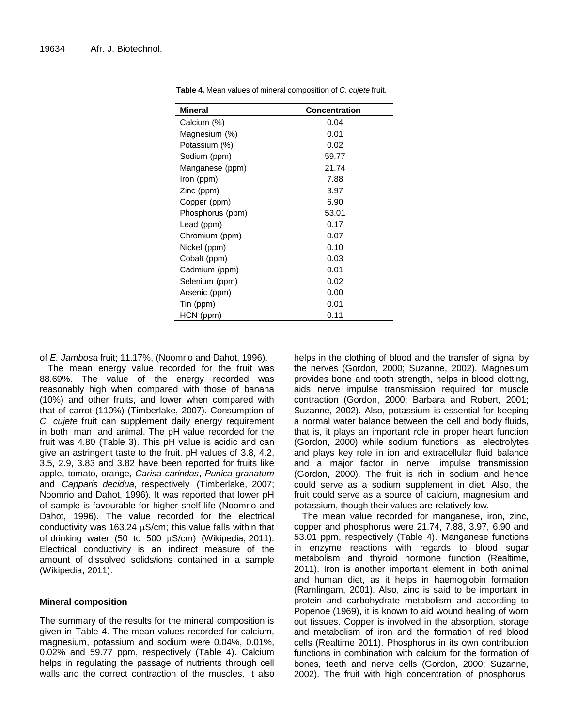| <b>Mineral</b>   | <b>Concentration</b> |
|------------------|----------------------|
| Calcium (%)      | 0.04                 |
| Magnesium (%)    | 0.01                 |
| Potassium (%)    | 0.02                 |
| Sodium (ppm)     | 59.77                |
| Manganese (ppm)  | 21.74                |
| Iron (ppm)       | 7.88                 |
| Zinc (ppm)       | 3.97                 |
| Copper (ppm)     | 6.90                 |
| Phosphorus (ppm) | 53.01                |
| Lead (ppm)       | 0.17                 |
| Chromium (ppm)   | 0.07                 |
| Nickel (ppm)     | 0.10                 |
| Cobalt (ppm)     | 0.03                 |
| Cadmium (ppm)    | 0.01                 |
| Selenium (ppm)   | 0.02                 |
| Arsenic (ppm)    | 0.00                 |
| Tin (ppm)        | 0.01                 |
| HCN (ppm)        | 0.11                 |

**Table 4.** Mean values of mineral composition of *C. cujete* fruit.

of *E. Jambosa* fruit; 11.17%, (Noomrio and Dahot, 1996).

The mean energy value recorded for the fruit was 88.69%. The value of the energy recorded was reasonably high when compared with those of banana (10%) and other fruits, and lower when compared with that of carrot (110%) (Timberlake, 2007). Consumption of *C. cujete* fruit can supplement daily energy requirement in both man and animal. The pH value recorded for the fruit was 4.80 (Table 3). This pH value is acidic and can give an astringent taste to the fruit. pH values of 3.8, 4.2, 3.5, 2.9, 3.83 and 3.82 have been reported for fruits like apple, tomato, orange, *Carisa carindas*, *Punica granatum* and *Capparis decidua*, respectively (Timberlake, 2007; Noomrio and Dahot, 1996). It was reported that lower pH of sample is favourable for higher shelf life (Noomrio and Dahot, 1996). The value recorded for the electrical conductivity was 163.24  $\mu$ S/cm; this value falls within that of drinking water (50 to 500  $\mu$ S/cm) (Wikipedia, 2011). Electrical conductivity is an indirect measure of the amount of dissolved solids/ions contained in a sample (Wikipedia, 2011).

## **Mineral composition**

The summary of the results for the mineral composition is given in Table 4. The mean values recorded for calcium, magnesium, potassium and sodium were 0.04%, 0.01%, 0.02% and 59.77 ppm, respectively (Table 4). Calcium helps in regulating the passage of nutrients through cell walls and the correct contraction of the muscles. It also helps in the clothing of blood and the transfer of signal by the nerves (Gordon, 2000; Suzanne, 2002). Magnesium provides bone and tooth strength, helps in blood clotting, aids nerve impulse transmission required for muscle contraction (Gordon, 2000; Barbara and Robert, 2001; Suzanne, 2002). Also, potassium is essential for keeping a normal water balance between the cell and body fluids, that is, it plays an important role in proper heart function (Gordon, 2000) while sodium functions as electrolytes and plays key role in ion and extracellular fluid balance and a major factor in nerve impulse transmission (Gordon, 2000). The fruit is rich in sodium and hence could serve as a sodium supplement in diet. Also, the fruit could serve as a source of calcium, magnesium and potassium, though their values are relatively low.

The mean value recorded for manganese, iron, zinc, copper and phosphorus were 21.74, 7.88, 3.97, 6.90 and 53.01 ppm, respectively (Table 4). Manganese functions in enzyme reactions with regards to blood sugar metabolism and thyroid hormone function (Realtime, 2011). Iron is another important element in both animal and human diet, as it helps in haemoglobin formation (Ramlingam, 2001). Also, zinc is said to be important in protein and carbohydrate metabolism and according to Popenoe (1969), it is known to aid wound healing of worn out tissues. Copper is involved in the absorption, storage and metabolism of iron and the formation of red blood cells (Realtime 2011). Phosphorus in its own contribution functions in combination with calcium for the formation of bones, teeth and nerve cells (Gordon, 2000; Suzanne, 2002). The fruit with high concentration of phosphorus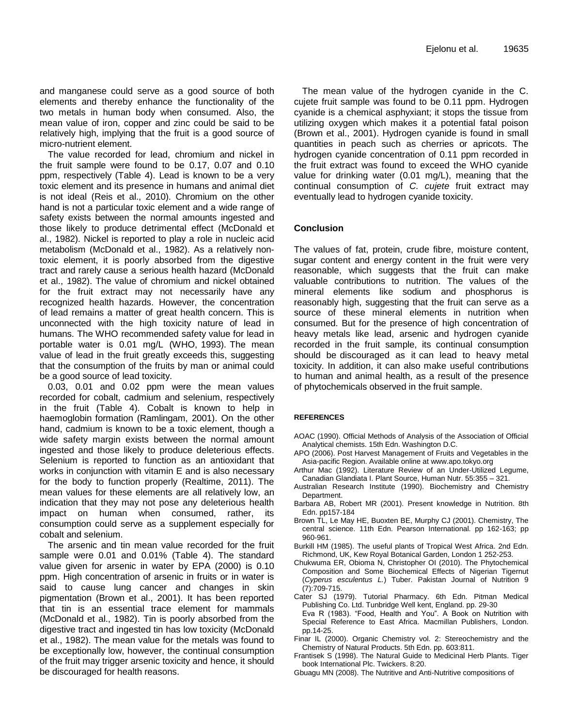and manganese could serve as a good source of both elements and thereby enhance the functionality of the two metals in human body when consumed. Also, the mean value of iron, copper and zinc could be said to be relatively high, implying that the fruit is a good source of micro-nutrient element.

The value recorded for lead, chromium and nickel in the fruit sample were found to be 0.17, 0.07 and 0.10 ppm, respectively (Table 4). Lead is known to be a very toxic element and its presence in humans and animal diet is not ideal (Reis et al., 2010). Chromium on the other hand is not a particular toxic element and a wide range of safety exists between the normal amounts ingested and those likely to produce detrimental effect (McDonald et al., 1982). Nickel is reported to play a role in nucleic acid metabolism (McDonald et al., 1982). As a relatively nontoxic element, it is poorly absorbed from the digestive tract and rarely cause a serious health hazard (McDonald et al., 1982). The value of chromium and nickel obtained for the fruit extract may not necessarily have any recognized health hazards. However, the concentration of lead remains a matter of great health concern. This is unconnected with the high toxicity nature of lead in humans. The WHO recommended safety value for lead in portable water is 0.01 mg/L (WHO, 1993). The mean value of lead in the fruit greatly exceeds this, suggesting that the consumption of the fruits by man or animal could be a good source of lead toxicity.

0.03, 0.01 and 0.02 ppm were the mean values recorded for cobalt, cadmium and selenium, respectively in the fruit (Table 4). Cobalt is known to help in haemoglobin formation (Ramlingam, 2001). On the other hand, cadmium is known to be a toxic element, though a wide safety margin exists between the normal amount ingested and those likely to produce deleterious effects. Selenium is reported to function as an antioxidant that works in conjunction with vitamin E and is also necessary for the body to function properly (Realtime, 2011). The mean values for these elements are all relatively low, an indication that they may not pose any deleterious health impact on human when consumed, rather, its consumption could serve as a supplement especially for cobalt and selenium.

The arsenic and tin mean value recorded for the fruit sample were 0.01 and 0.01% (Table 4). The standard value given for arsenic in water by EPA (2000) is 0.10 ppm. High concentration of arsenic in fruits or in water is said to cause lung cancer and changes in skin pigmentation (Brown et al., 2001). It has been reported that tin is an essential trace element for mammals (McDonald et al., 1982). Tin is poorly absorbed from the digestive tract and ingested tin has low toxicity (McDonald et al., 1982). The mean value for the metals was found to be exceptionally low, however, the continual consumption of the fruit may trigger arsenic toxicity and hence, it should be discouraged for health reasons.

The mean value of the hydrogen cyanide in the C. cujete fruit sample was found to be 0.11 ppm. Hydrogen cyanide is a chemical asphyxiant; it stops the tissue from utilizing oxygen which makes it a potential fatal poison (Brown et al., 2001). Hydrogen cyanide is found in small quantities in peach such as cherries or apricots. The hydrogen cyanide concentration of 0.11 ppm recorded in the fruit extract was found to exceed the WHO cyanide value for drinking water (0.01 mg/L), meaning that the continual consumption of *C. cujete* fruit extract may eventually lead to hydrogen cyanide toxicity.

### **Conclusion**

The values of fat, protein, crude fibre, moisture content, sugar content and energy content in the fruit were very reasonable, which suggests that the fruit can make valuable contributions to nutrition. The values of the mineral elements like sodium and phosphorus is reasonably high, suggesting that the fruit can serve as a source of these mineral elements in nutrition when consumed. But for the presence of high concentration of heavy metals like lead, arsenic and hydrogen cyanide recorded in the fruit sample, its continual consumption should be discouraged as it can lead to heavy metal toxicity. In addition, it can also make useful contributions to human and animal health, as a result of the presence of phytochemicals observed in the fruit sample.

#### **REFERENCES**

- AOAC (1990). Official Methods of Analysis of the Association of Official Analytical chemists. 15th Edn. Washington D.C.
- APO (2006). Post Harvest Management of Fruits and Vegetables in the Asia-pacific Region. Available online at www.apo.tokyo.org
- Arthur Mac (1992). Literature Review of an Under-Utilized Legume, Canadian Glandiata I. Plant Source, Human Nutr. 55:355 – 321.
- Australian Research Institute (1990). Biochemistry and Chemistry Department.
- Barbara AB, Robert MR (2001). Present knowledge in Nutrition. 8th Edn. pp157-184
- Brown TL, Le May HE, Buoxten BE, Murphy CJ (2001). Chemistry, The central science. 11th Edn. Pearson International. pp 162-163; pp 960-961.
- Burkill HM (1985). The useful plants of Tropical West Africa. 2nd Edn. Richmond, UK, Kew Royal Botanical Garden, London 1 252-253.
- Chukwuma ER, Obioma N, Christopher OI (2010). The Phytochemical Composition and Some Biochemical Effects of Nigerian Tigernut (*Cyperus esculentus L.*) Tuber. Pakistan Journal of Nutrition 9 (7):709-715.
- Cater SJ (1979). Tutorial Pharmacy. 6th Edn. Pitman Medical Publishing Co. Ltd. Tunbridge Well kent, England. pp. 29-30 Eva R (1983). "Food, Health and You". A Book on Nutrition with Special Reference to East Africa. Macmillan Publishers, London.
- pp.14-25. Finar IL (2000). Organic Chemistry vol. 2: Stereochemistry and the Chemistry of Natural Products. 5th Edn. pp. 603:811.
- Frantisek S (1998). The Natural Guide to Medicinal Herb Plants. Tiger book International Plc. Twickers. 8:20.
- Gbuagu MN (2008). The Nutritive and Anti-Nutritive compositions of